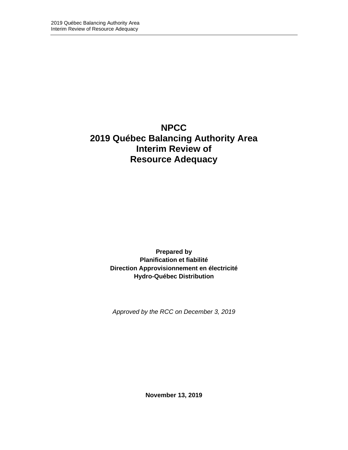# **NPCC 2019 Québec Balancing Authority Area Interim Review of Resource Adequacy**

**Prepared by Planification et fiabilité Direction Approvisionnement en électricité Hydro-Québec Distribution**

*Approved by the RCC on December 3, 2019*

**November 13, 2019**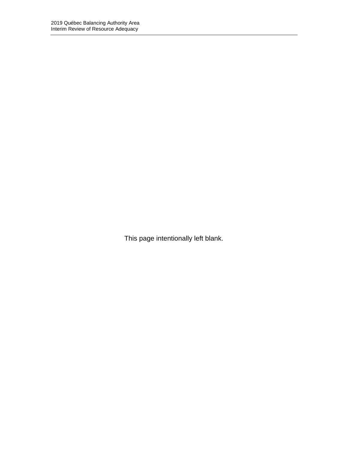This page intentionally left blank.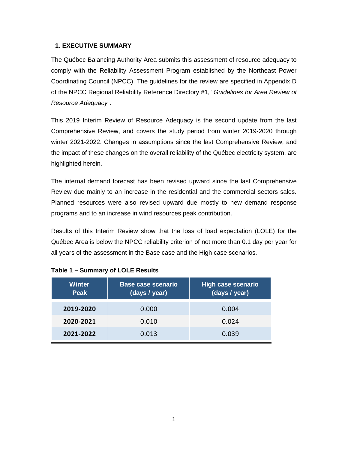# **1. EXECUTIVE SUMMARY**

The Québec Balancing Authority Area submits this assessment of resource adequacy to comply with the Reliability Assessment Program established by the Northeast Power Coordinating Council (NPCC). The guidelines for the review are specified in Appendix D of the NPCC Regional Reliability Reference Directory #1, "*Guidelines for Area Review of Resource Adequacy*".

This 2019 Interim Review of Resource Adequacy is the second update from the last Comprehensive Review, and covers the study period from winter 2019-2020 through winter 2021-2022. Changes in assumptions since the last Comprehensive Review, and the impact of these changes on the overall reliability of the Québec electricity system, are highlighted herein.

The internal demand forecast has been revised upward since the last Comprehensive Review due mainly to an increase in the residential and the commercial sectors sales. Planned resources were also revised upward due mostly to new demand response programs and to an increase in wind resources peak contribution.

Results of this Interim Review show that the loss of load expectation (LOLE) for the Québec Area is below the NPCC reliability criterion of not more than 0.1 day per year for all years of the assessment in the Base case and the High case scenarios.

| <b>Winter</b><br><b>Peak</b> | Base case scenario<br>(days / year) | <b>High case scenario</b><br>(days / year) |
|------------------------------|-------------------------------------|--------------------------------------------|
| 2019-2020                    | 0.000                               | 0.004                                      |
| 2020-2021                    | 0.010                               | 0.024                                      |
| 2021-2022                    | 0.013                               | 0.039                                      |

|  | Table 1 - Summary of LOLE Results |  |  |
|--|-----------------------------------|--|--|
|--|-----------------------------------|--|--|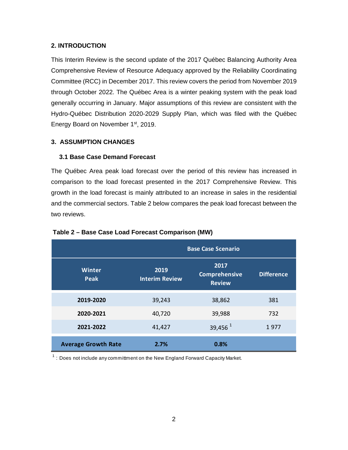# **2. INTRODUCTION**

This Interim Review is the second update of the 2017 Québec Balancing Authority Area Comprehensive Review of Resource Adequacy approved by the Reliability Coordinating Committee (RCC) in December 2017. This review covers the period from November 2019 through October 2022. The Québec Area is a winter peaking system with the peak load generally occurring in January. Major assumptions of this review are consistent with the Hydro-Québec Distribution 2020-2029 Supply Plan, which was filed with the Québec Energy Board on November 1<sup>st</sup>, 2019.

# **3. ASSUMPTION CHANGES**

## **3.1 Base Case Demand Forecast**

The Québec Area peak load forecast over the period of this review has increased in comparison to the load forecast presented in the 2017 Comprehensive Review. This growth in the load forecast is mainly attributed to an increase in sales in the residential and the commercial sectors. Table 2 below compares the peak load forecast between the two reviews.

|                              | <b>Base Case Scenario</b>     |                                        |                   |
|------------------------------|-------------------------------|----------------------------------------|-------------------|
| <b>Winter</b><br><b>Peak</b> | 2019<br><b>Interim Review</b> | 2017<br>Comprehensive<br><b>Review</b> | <b>Difference</b> |
| 2019-2020                    | 39,243                        | 38,862                                 | 381               |
| 2020-2021                    | 40,720                        | 39,988                                 | 732               |
| 2021-2022                    | 41,427                        | 39,456 $1$                             | 1977              |
| <b>Average Growth Rate</b>   | 2.7%                          | 0.8%                                   |                   |

## **Table 2 – Base Case Load Forecast Comparison (MW)**

 $1$  : Does not include any committment on the New England Forward Capacity Market.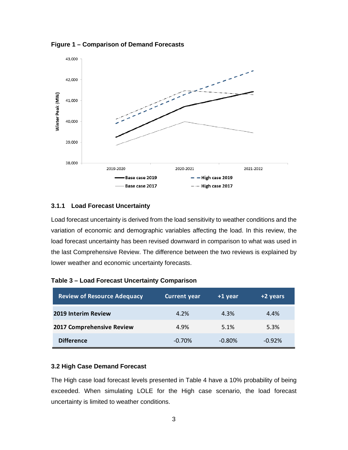**Figure 1 – Comparison of Demand Forecasts**



#### **3.1.1 Load Forecast Uncertainty**

Load forecast uncertainty is derived from the load sensitivity to weather conditions and the variation of economic and demographic variables affecting the load. In this review, the load forecast uncertainty has been revised downward in comparison to what was used in the last Comprehensive Review. The difference between the two reviews is explained by lower weather and economic uncertainty forecasts.

| <b>Review of Resource Adequacy</b> | <b>Current year</b> | $+1$ year | +2 years |
|------------------------------------|---------------------|-----------|----------|
| 2019 Interim Review                | 4.2%                | 4.3%      | 4.4%     |
| 2017 Comprehensive Review          | 4.9%                | 5.1%      | 5.3%     |
| <b>Difference</b>                  | $-0.70%$            | $-0.80\%$ | $-0.92%$ |

| Table 3 - Load Forecast Uncertainty Comparison |  |  |
|------------------------------------------------|--|--|
|------------------------------------------------|--|--|

#### **3.2 High Case Demand Forecast**

The High case load forecast levels presented in Table 4 have a 10% probability of being exceeded. When simulating LOLE for the High case scenario, the load forecast uncertainty is limited to weather conditions.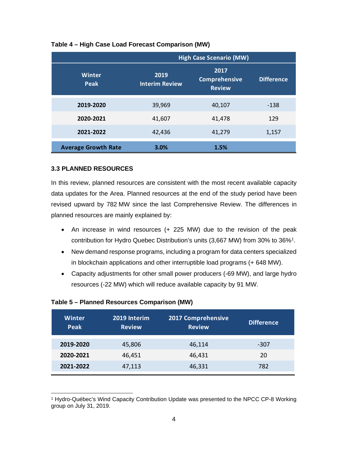|                            | <b>High Case Scenario (MW)</b> |                                               |                   |
|----------------------------|--------------------------------|-----------------------------------------------|-------------------|
| Winter<br>Peak             | 2019<br><b>Interim Review</b>  | 2017<br><b>Comprehensive</b><br><b>Review</b> | <b>Difference</b> |
| 2019-2020                  | 39,969                         | 40,107                                        | $-138$            |
| 2020-2021                  | 41,607                         | 41,478                                        | 129               |
| 2021-2022                  | 42,436                         | 41,279                                        | 1,157             |
| <b>Average Growth Rate</b> | 3.0%                           | 1.5%                                          |                   |

## **Table 4 – High Case Load Forecast Comparison (MW)**

## **3.3 PLANNED RESOURCES**

In this review, planned resources are consistent with the most recent available capacity data updates for the Area. Planned resources at the end of the study period have been revised upward by 782 MW since the last Comprehensive Review. The differences in planned resources are mainly explained by:

- An increase in wind resources (+ 225 MW) due to the revision of the peak contribution for Hydro Quebec Distribution's units (3,667 MW) from 30% to 36%<sup>[1](#page-5-0)</sup>.
- New demand response programs, including a program for data centers specialized in blockchain applications and other interruptible load programs (+ 648 MW).
- Capacity adjustments for other small power producers (-69 MW), and large hydro resources (-22 MW) which will reduce available capacity by 91 MW.

| Winter<br>Peak | 2019 Interim<br><b>Review</b> | 2017 Comprehensive<br><b>Review</b> | <b>Difference</b> |
|----------------|-------------------------------|-------------------------------------|-------------------|
| 2019-2020      | 45,806                        | 46,114                              | -307              |
| 2020-2021      | 46,451                        | 46,431                              | 20                |
| 2021-2022      | 47,113                        | 46,331                              | 782               |

#### **Table 5 – Planned Resources Comparison (MW)**

<span id="page-5-0"></span><sup>1</sup> Hydro-Québec's Wind Capacity Contribution Update was presented to the NPCC CP-8 Working group on July 31, 2019.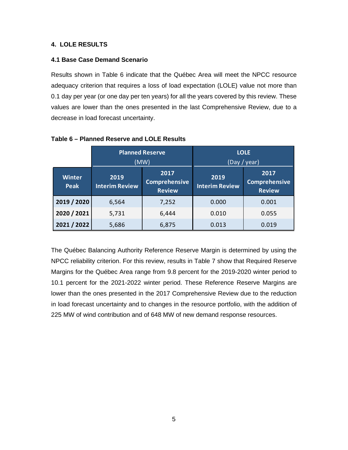#### **4. LOLE RESULTS**

#### **4.1 Base Case Demand Scenario**

Results shown in Table 6 indicate that the Québec Area will meet the NPCC resource adequacy criterion that requires a loss of load expectation (LOLE) value not more than 0.1 day per year (or one day per ten years) for all the years covered by this review. These values are lower than the ones presented in the last Comprehensive Review, due to a decrease in load forecast uncertainty.

|                       | <b>Planned Reserve</b>        |                                        | <b>LOLE</b>                   |                                        |  |
|-----------------------|-------------------------------|----------------------------------------|-------------------------------|----------------------------------------|--|
|                       | (MW)                          |                                        |                               | (Day / year)                           |  |
| <b>Winter</b><br>Peak | 2019<br><b>Interim Review</b> | 2017<br>Comprehensive<br><b>Review</b> | 2019<br><b>Interim Review</b> | 2017<br>Comprehensive<br><b>Review</b> |  |
| 2019 / 2020           | 6,564                         | 7,252                                  | 0.000                         | 0.001                                  |  |
| 2020 / 2021           | 5,731                         | 6,444                                  | 0.010                         | 0.055                                  |  |
| 2021/2022             | 5,686                         | 6,875                                  | 0.013                         | 0.019                                  |  |

## **Table 6 – Planned Reserve and LOLE Results**

The Québec Balancing Authority Reference Reserve Margin is determined by using the NPCC reliability criterion. For this review, results in Table 7 show that Required Reserve Margins for the Québec Area range from 9.8 percent for the 2019-2020 winter period to 10.1 percent for the 2021-2022 winter period. These Reference Reserve Margins are lower than the ones presented in the 2017 Comprehensive Review due to the reduction in load forecast uncertainty and to changes in the resource portfolio, with the addition of 225 MW of wind contribution and of 648 MW of new demand response resources.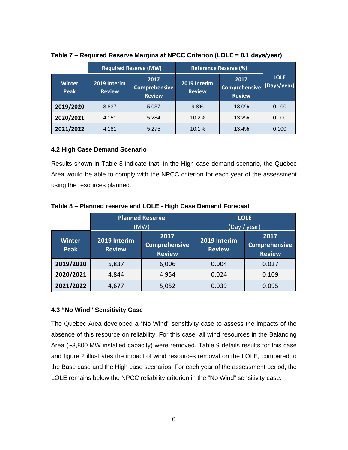|                       | <b>Required Reserve (MW)</b>  |                                               | <b>Reference Reserve (%)</b>  |                                        |                            |
|-----------------------|-------------------------------|-----------------------------------------------|-------------------------------|----------------------------------------|----------------------------|
| <b>Winter</b><br>Peak | 2019 Interim<br><b>Review</b> | 2017<br><b>Comprehensive</b><br><b>Review</b> | 2019 Interim<br><b>Review</b> | 2017<br>Comprehensive<br><b>Review</b> | <b>LOLE</b><br>(Days/year) |
| 2019/2020             | 3,837                         | 5,037                                         | 9.8%                          | 13.0%                                  | 0.100                      |
| 2020/2021             | 4,151                         | 5.284                                         | 10.2%                         | 13.2%                                  | 0.100                      |
| 2021/2022             | 4,181                         | 5,275                                         | 10.1%                         | 13.4%                                  | 0.100                      |

**Table 7 – Required Reserve Margins at NPCC Criterion (LOLE = 0.1 days/year)**

## **4.2 High Case Demand Scenario**

Results shown in Table 8 indicate that, in the High case demand scenario, the Québec Area would be able to comply with the NPCC criterion for each year of the assessment using the resources planned.

|                              | <b>Planned Reserve</b>        |                                        | <b>LOLE</b>                   |                                        |
|------------------------------|-------------------------------|----------------------------------------|-------------------------------|----------------------------------------|
|                              |                               | (MW)                                   |                               | (Day / year)                           |
| <b>Winter</b><br><b>Peak</b> | 2019 Interim<br><b>Review</b> | 2017<br>Comprehensive<br><b>Review</b> | 2019 Interim<br><b>Review</b> | 2017<br>Comprehensive<br><b>Review</b> |
| 2019/2020                    | 5,837                         | 6,006                                  | 0.004                         | 0.027                                  |
| 2020/2021                    | 4,844                         | 4,954                                  | 0.024                         | 0.109                                  |
| 2021/2022                    | 4,677                         | 5,052                                  | 0.039                         | 0.095                                  |

**Table 8 – Planned reserve and LOLE - High Case Demand Forecast** 

## **4.3 "No Wind" Sensitivity Case**

The Quebec Area developed a "No Wind" sensitivity case to assess the impacts of the absence of this resource on reliability. For this case, all wind resources in the Balancing Area (~3,800 MW installed capacity) were removed. Table 9 details results for this case and figure 2 illustrates the impact of wind resources removal on the LOLE, compared to the Base case and the High case scenarios. For each year of the assessment period, the LOLE remains below the NPCC reliability criterion in the "No Wind" sensitivity case.